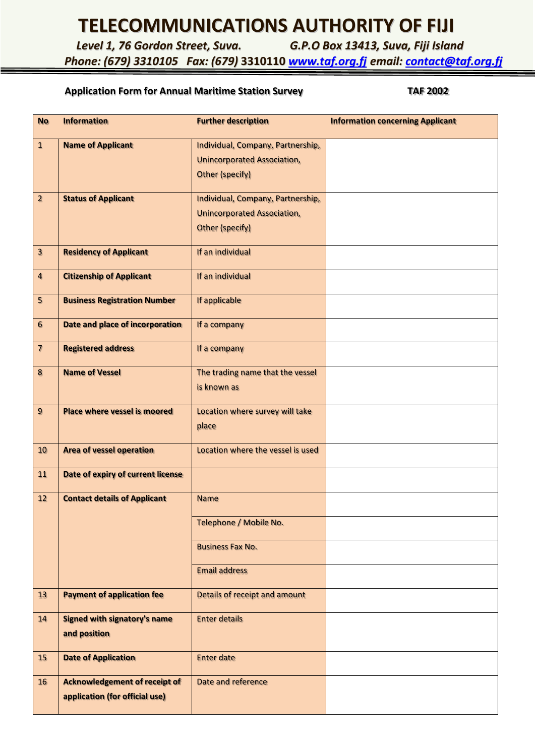## **TELECOMMUNICATIONS AUTHORITY OF FIJI**

*Level 1, 76 Gordon Street, Suva. G.P.O Box 13413, Suva, Fiji Island*

### *Phone: (679) 3310105 Fax: (679)* **3310110** *[www.taf.org.fj](http://www.taf.org.fj/) email: [contact@taf.org.fj](mailto:contact@taf.org.fj)*

### Application Form for Annual Maritime Station Survey **TAF 2002**

| <b>No</b>                | <b>Information</b>                   | <b>Further description</b>         | <b>Information concerning Applicant</b> |
|--------------------------|--------------------------------------|------------------------------------|-----------------------------------------|
| $\mathbf{1}$             | <b>Name of Applicant</b>             | Individual, Company, Partnership,  |                                         |
|                          |                                      | <b>Unincorporated Association,</b> |                                         |
|                          |                                      | <b>Other (specify)</b>             |                                         |
| $\overline{2}$           | <b>Status of Applicant</b>           | Individual, Company, Partnership,  |                                         |
|                          |                                      | <b>Unincorporated Association,</b> |                                         |
|                          |                                      | <b>Other (specify)</b>             |                                         |
| $\overline{\mathbf{3}}$  | <b>Residency of Applicant</b>        | If an individual                   |                                         |
| $\overline{\mathbf{4}}$  | <b>Citizenship of Applicant</b>      | If an individual                   |                                         |
| 5                        | <b>Business Registration Number</b>  | If applicable                      |                                         |
| $6\phantom{.}6$          | Date and place of incorporation      | If a company                       |                                         |
| $\overline{\mathcal{L}}$ | <b>Registered address</b>            | If a company                       |                                         |
| 8                        | <b>Name of Vessel</b>                | The trading name that the vessel   |                                         |
|                          |                                      | is known as                        |                                         |
| $\overline{9}$           | <b>Place where vessel is moored</b>  | Location where survey will take    |                                         |
|                          |                                      | place                              |                                         |
| 10                       | <b>Area of vessel operation</b>      | Location where the vessel is used  |                                         |
| 11                       | Date of expiry of current license    |                                    |                                         |
| 12                       | <b>Contact details of Applicant</b>  | <b>Name</b>                        |                                         |
|                          |                                      | Telephone / Mobile No.             |                                         |
|                          |                                      | <b>Business Fax No.</b>            |                                         |
|                          |                                      | <b>Email address</b>               |                                         |
| 13                       | <b>Payment of application fee</b>    | Details of receipt and amount      |                                         |
| 14                       | <b>Signed with signatory's name</b>  | <b>Enter details</b>               |                                         |
|                          | and position                         |                                    |                                         |
| 15                       | <b>Date of Application</b>           | <b>Enter date</b>                  |                                         |
| 16                       | <b>Acknowledgement of receipt of</b> | Date and reference                 |                                         |
|                          | application (for official use)       |                                    |                                         |